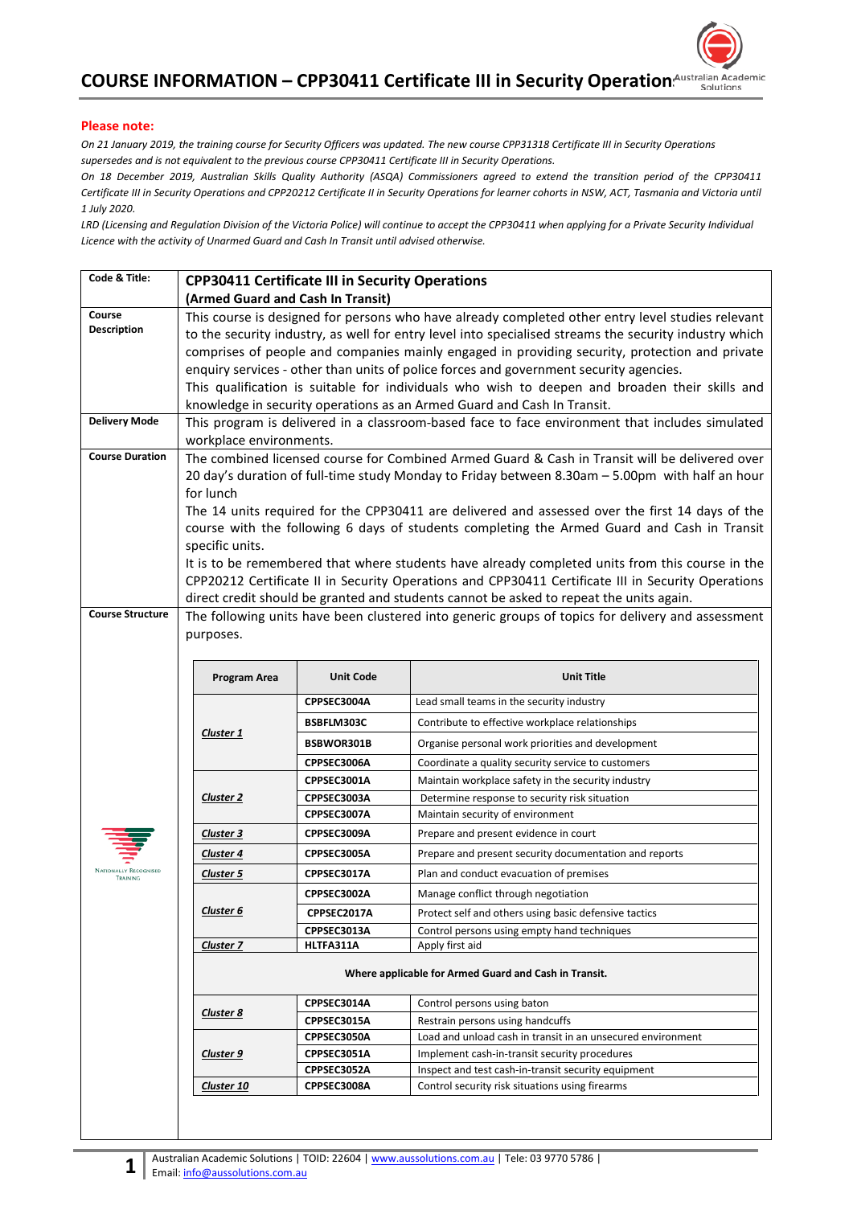

## **Please note:**

*On 21 January 2019, the training course for Security Officers was updated. The new course CPP31318 Certificate III in Security Operations supersedes and is not equivalent to the previous course CPP30411 Certificate III in Security Operations.*

*On 18 December 2019, Australian Skills Quality Authority (ASQA) Commissioners agreed to extend the transition period of the CPP30411 Certificate III in Security Operations and CPP20212 Certificate II in Security Operations for learner cohorts in NSW, ACT, Tasmania and Victoria until 1 July 2020.* 

*LRD (Licensing and Regulation Division of the Victoria Police) will continue to accept the CPP30411 when applying for a Private Security Individual Licence with the activity of Unarmed Guard and Cash In Transit until advised otherwise.* 

| Code & Title:                            | <b>CPP30411 Certificate III in Security Operations</b>                                                 |                  |                                                                                                   |  |  |  |
|------------------------------------------|--------------------------------------------------------------------------------------------------------|------------------|---------------------------------------------------------------------------------------------------|--|--|--|
|                                          | (Armed Guard and Cash In Transit)                                                                      |                  |                                                                                                   |  |  |  |
| Course                                   | This course is designed for persons who have already completed other entry level studies relevant      |                  |                                                                                                   |  |  |  |
| <b>Description</b>                       | to the security industry, as well for entry level into specialised streams the security industry which |                  |                                                                                                   |  |  |  |
|                                          | comprises of people and companies mainly engaged in providing security, protection and private         |                  |                                                                                                   |  |  |  |
|                                          | enquiry services - other than units of police forces and government security agencies.                 |                  |                                                                                                   |  |  |  |
|                                          | This qualification is suitable for individuals who wish to deepen and broaden their skills and         |                  |                                                                                                   |  |  |  |
|                                          | knowledge in security operations as an Armed Guard and Cash In Transit.                                |                  |                                                                                                   |  |  |  |
| <b>Delivery Mode</b>                     | This program is delivered in a classroom-based face to face environment that includes simulated        |                  |                                                                                                   |  |  |  |
|                                          | workplace environments.                                                                                |                  |                                                                                                   |  |  |  |
| <b>Course Duration</b>                   | The combined licensed course for Combined Armed Guard & Cash in Transit will be delivered over         |                  |                                                                                                   |  |  |  |
|                                          | 20 day's duration of full-time study Monday to Friday between 8.30am - 5.00pm with half an hour        |                  |                                                                                                   |  |  |  |
|                                          | for lunch                                                                                              |                  |                                                                                                   |  |  |  |
|                                          |                                                                                                        |                  | The 14 units required for the CPP30411 are delivered and assessed over the first 14 days of the   |  |  |  |
|                                          |                                                                                                        |                  | course with the following 6 days of students completing the Armed Guard and Cash in Transit       |  |  |  |
|                                          | specific units.                                                                                        |                  |                                                                                                   |  |  |  |
|                                          |                                                                                                        |                  | It is to be remembered that where students have already completed units from this course in the   |  |  |  |
|                                          | CPP20212 Certificate II in Security Operations and CPP30411 Certificate III in Security Operations     |                  |                                                                                                   |  |  |  |
| <b>Course Structure</b>                  |                                                                                                        |                  | direct credit should be granted and students cannot be asked to repeat the units again.           |  |  |  |
|                                          |                                                                                                        |                  | The following units have been clustered into generic groups of topics for delivery and assessment |  |  |  |
|                                          | purposes.                                                                                              |                  |                                                                                                   |  |  |  |
|                                          |                                                                                                        |                  |                                                                                                   |  |  |  |
|                                          | Program Area                                                                                           | <b>Unit Code</b> | <b>Unit Title</b>                                                                                 |  |  |  |
|                                          | <b>Cluster 1</b>                                                                                       | CPPSEC3004A      | Lead small teams in the security industry                                                         |  |  |  |
|                                          |                                                                                                        | BSBFLM303C       | Contribute to effective workplace relationships                                                   |  |  |  |
|                                          |                                                                                                        | BSBWOR301B       | Organise personal work priorities and development                                                 |  |  |  |
|                                          |                                                                                                        | CPPSEC3006A      | Coordinate a quality security service to customers                                                |  |  |  |
|                                          |                                                                                                        | CPPSEC3001A      | Maintain workplace safety in the security industry                                                |  |  |  |
|                                          | <b>Cluster 2</b>                                                                                       | CPPSEC3003A      | Determine response to security risk situation                                                     |  |  |  |
|                                          |                                                                                                        | CPPSEC3007A      | Maintain security of environment                                                                  |  |  |  |
|                                          | <b>Cluster 3</b>                                                                                       | CPPSEC3009A      | Prepare and present evidence in court                                                             |  |  |  |
|                                          | Cluster 4                                                                                              | CPPSEC3005A      | Prepare and present security documentation and reports                                            |  |  |  |
| <b>NATIONALLY RECOGNISED</b><br>TRAINING | <b>Cluster 5</b>                                                                                       | CPPSEC3017A      | Plan and conduct evacuation of premises                                                           |  |  |  |
|                                          |                                                                                                        | CPPSEC3002A      | Manage conflict through negotiation                                                               |  |  |  |
|                                          | Cluster <sub>6</sub>                                                                                   | CPPSEC2017A      | Protect self and others using basic defensive tactics                                             |  |  |  |
|                                          |                                                                                                        | CPPSEC3013A      | Control persons using empty hand techniques                                                       |  |  |  |
|                                          | <b>Cluster 7</b>                                                                                       | HLTFA311A        | Apply first aid                                                                                   |  |  |  |
|                                          | Where applicable for Armed Guard and Cash in Transit.                                                  |                  |                                                                                                   |  |  |  |
|                                          |                                                                                                        | CPPSEC3014A      | Control persons using baton                                                                       |  |  |  |
|                                          | <b>Cluster 8</b>                                                                                       | CPPSEC3015A      | Restrain persons using handcuffs                                                                  |  |  |  |
|                                          |                                                                                                        | CPPSEC3050A      | Load and unload cash in transit in an unsecured environment                                       |  |  |  |
|                                          | Cluster 9                                                                                              | CPPSEC3051A      | Implement cash-in-transit security procedures                                                     |  |  |  |
|                                          |                                                                                                        | CPPSEC3052A      | Inspect and test cash-in-transit security equipment                                               |  |  |  |
|                                          |                                                                                                        |                  |                                                                                                   |  |  |  |
|                                          | <b>Cluster 10</b>                                                                                      | CPPSEC3008A      | Control security risk situations using firearms                                                   |  |  |  |